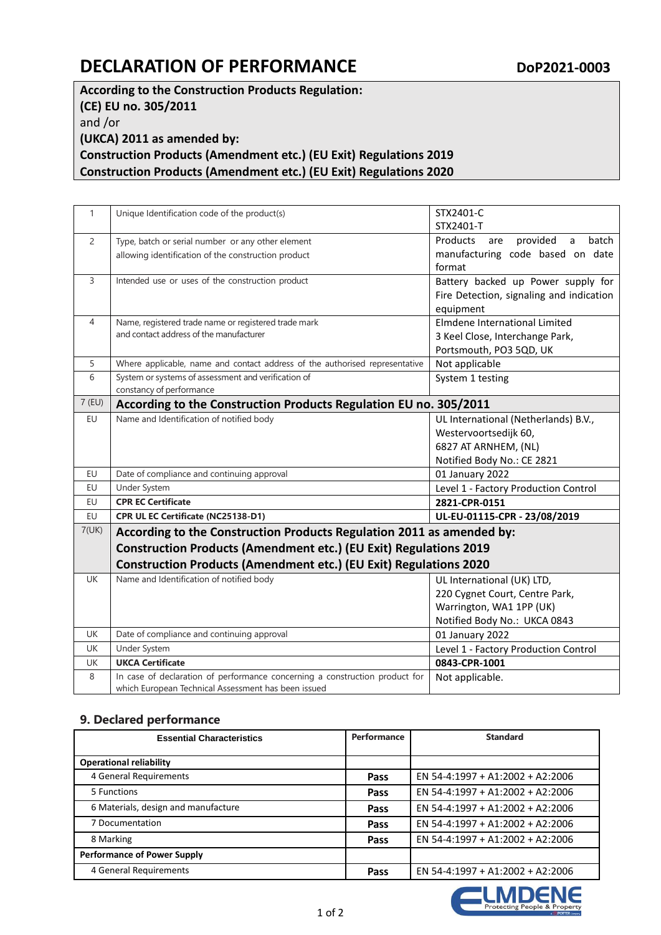## **DECLARATION OF PERFORMANCE** DOP2021-0003

**According to the Construction Products Regulation: (CE) EU no. 305/2011** and /or **(UKCA) 2011 as amended by: Construction Products (Amendment etc.) (EU Exit) Regulations 2019 Construction Products (Amendment etc.) (EU Exit) Regulations 2020**

| $\mathbf{1}$   | Unique Identification code of the product(s)                                                                                                                                                                    | STX2401-C                                            |  |
|----------------|-----------------------------------------------------------------------------------------------------------------------------------------------------------------------------------------------------------------|------------------------------------------------------|--|
|                |                                                                                                                                                                                                                 | STX2401-T                                            |  |
| $\overline{2}$ | Type, batch or serial number or any other element                                                                                                                                                               | provided<br>Products<br>$\mathsf{a}$<br>batch<br>are |  |
|                | allowing identification of the construction product                                                                                                                                                             | manufacturing code based on date                     |  |
|                |                                                                                                                                                                                                                 | format                                               |  |
| 3              | Intended use or uses of the construction product                                                                                                                                                                | Battery backed up Power supply for                   |  |
|                |                                                                                                                                                                                                                 | Fire Detection, signaling and indication             |  |
|                |                                                                                                                                                                                                                 | equipment                                            |  |
| 4              | Name, registered trade name or registered trade mark                                                                                                                                                            | Elmdene International Limited                        |  |
|                | and contact address of the manufacturer                                                                                                                                                                         | 3 Keel Close, Interchange Park,                      |  |
|                |                                                                                                                                                                                                                 | Portsmouth, PO3 5QD, UK                              |  |
| 5              | Where applicable, name and contact address of the authorised representative                                                                                                                                     | Not applicable                                       |  |
| 6              | System or systems of assessment and verification of                                                                                                                                                             | System 1 testing                                     |  |
|                | constancy of performance                                                                                                                                                                                        |                                                      |  |
| $7$ (EU)       | According to the Construction Products Regulation EU no. 305/2011                                                                                                                                               |                                                      |  |
| EU             | Name and Identification of notified body                                                                                                                                                                        | UL International (Netherlands) B.V.,                 |  |
|                |                                                                                                                                                                                                                 | Westervoortsedijk 60,                                |  |
|                |                                                                                                                                                                                                                 | 6827 AT ARNHEM, (NL)                                 |  |
|                |                                                                                                                                                                                                                 | Notified Body No.: CE 2821                           |  |
| EU             | Date of compliance and continuing approval                                                                                                                                                                      | 01 January 2022                                      |  |
| EU             | Under System                                                                                                                                                                                                    | Level 1 - Factory Production Control                 |  |
| EU             | <b>CPR EC Certificate</b>                                                                                                                                                                                       | 2821-CPR-0151                                        |  |
| EU             | CPR UL EC Certificate (NC25138-D1)                                                                                                                                                                              | UL-EU-01115-CPR - 23/08/2019                         |  |
| 7(UK)          | According to the Construction Products Regulation 2011 as amended by:<br>Construction Products (Amendment etc.) (EU Exit) Regulations 2019<br>Construction Products (Amendment etc.) (EU Exit) Regulations 2020 |                                                      |  |
|                |                                                                                                                                                                                                                 |                                                      |  |
|                |                                                                                                                                                                                                                 |                                                      |  |
| <b>UK</b>      | Name and Identification of notified body                                                                                                                                                                        | UL International (UK) LTD,                           |  |
|                |                                                                                                                                                                                                                 | 220 Cygnet Court, Centre Park,                       |  |
|                |                                                                                                                                                                                                                 | Warrington, WA1 1PP (UK)                             |  |
|                |                                                                                                                                                                                                                 | Notified Body No.: UKCA 0843                         |  |
| <b>UK</b>      | Date of compliance and continuing approval                                                                                                                                                                      | 01 January 2022                                      |  |
| <b>UK</b>      | Under System                                                                                                                                                                                                    | Level 1 - Factory Production Control                 |  |
| UK             | <b>UKCA Certificate</b>                                                                                                                                                                                         | 0843-CPR-1001                                        |  |
| 8              | In case of declaration of performance concerning a construction product for                                                                                                                                     | Not applicable.                                      |  |
|                | which European Technical Assessment has been issued                                                                                                                                                             |                                                      |  |

## **9. Declared performance**

| <b>Essential Characteristics</b>    | Performance | <b>Standard</b>                  |
|-------------------------------------|-------------|----------------------------------|
|                                     |             |                                  |
| <b>Operational reliability</b>      |             |                                  |
| 4 General Requirements              | Pass        | EN 54-4:1997 + A1:2002 + A2:2006 |
| 5 Functions                         | Pass        | EN 54-4:1997 + A1:2002 + A2:2006 |
| 6 Materials, design and manufacture | Pass        | EN 54-4:1997 + A1:2002 + A2:2006 |
| 7 Documentation                     | Pass        | EN 54-4:1997 + A1:2002 + A2:2006 |
| 8 Marking                           | Pass        | EN 54-4:1997 + A1:2002 + A2:2006 |
| <b>Performance of Power Supply</b>  |             |                                  |
| 4 General Requirements              | Pass        | EN 54-4:1997 + A1:2002 + A2:2006 |